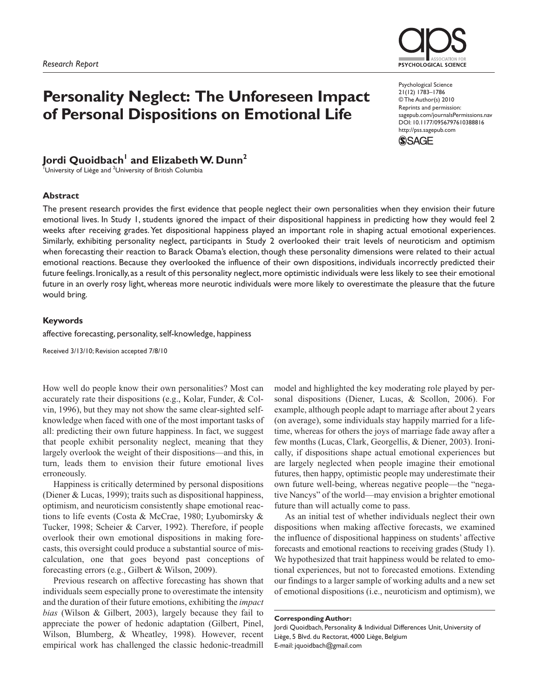# **Personality Neglect: The Unforeseen Impact of Personal Dispositions on Emotional Life**

# Jordi Quoidbach<sup>I</sup> and Elizabeth W. Dunn<sup>2</sup>

 $^{\text{1}}$ University of Liège and  $^{\text{2}}$ University of British Columbia

#### **Abstract**

PSYCHOLOGICAL SCIENCE

Psychological Science 21(12) 1783–1786 © The Author(s) 2010 Reprints and permission: sagepub.com/journalsPermissions.nav DOI: 10.1177/0956797610388816 http://pss.sagepub.com



The present research provides the first evidence that people neglect their own personalities when they envision their future emotional lives. In Study 1, students ignored the impact of their dispositional happiness in predicting how they would feel 2 weeks after receiving grades. Yet dispositional happiness played an important role in shaping actual emotional experiences. Similarly, exhibiting personality neglect, participants in Study 2 overlooked their trait levels of neuroticism and optimism when forecasting their reaction to Barack Obama's election, though these personality dimensions were related to their actual emotional reactions. Because they overlooked the influence of their own dispositions, individuals incorrectly predicted their future feelings. Ironically, as a result of this personality neglect, more optimistic individuals were less likely to see their emotional future in an overly rosy light, whereas more neurotic individuals were more likely to overestimate the pleasure that the future would bring.

#### **Keywords**

affective forecasting, personality, self-knowledge, happiness

Received 3/13/10; Revision accepted 7/8/10

How well do people know their own personalities? Most can accurately rate their dispositions (e.g., Kolar, Funder, & Colvin, 1996), but they may not show the same clear-sighted selfknowledge when faced with one of the most important tasks of all: predicting their own future happiness. In fact, we suggest that people exhibit personality neglect, meaning that they largely overlook the weight of their dispositions—and this, in turn, leads them to envision their future emotional lives erroneously.

Happiness is critically determined by personal dispositions (Diener & Lucas, 1999); traits such as dispositional happiness, optimism, and neuroticism consistently shape emotional reactions to life events (Costa & McCrae, 1980; Lyubomirsky & Tucker, 1998; Scheier & Carver, 1992). Therefore, if people overlook their own emotional dispositions in making forecasts, this oversight could produce a substantial source of miscalculation, one that goes beyond past conceptions of forecasting errors (e.g., Gilbert & Wilson, 2009).

Previous research on affective forecasting has shown that individuals seem especially prone to overestimate the intensity and the duration of their future emotions, exhibiting the *impact bias* (Wilson & Gilbert, 2003), largely because they fail to appreciate the power of hedonic adaptation (Gilbert, Pinel, Wilson, Blumberg, & Wheatley, 1998). However, recent empirical work has challenged the classic hedonic-treadmill

model and highlighted the key moderating role played by personal dispositions (Diener, Lucas, & Scollon, 2006). For example, although people adapt to marriage after about 2 years (on average), some individuals stay happily married for a lifetime, whereas for others the joys of marriage fade away after a few months (Lucas, Clark, Georgellis, & Diener, 2003). Ironically, if dispositions shape actual emotional experiences but are largely neglected when people imagine their emotional futures, then happy, optimistic people may underestimate their own future well-being, whereas negative people—the "negative Nancys" of the world—may envision a brighter emotional future than will actually come to pass.

As an initial test of whether individuals neglect their own dispositions when making affective forecasts, we examined the influence of dispositional happiness on students' affective forecasts and emotional reactions to receiving grades (Study 1). We hypothesized that trait happiness would be related to emotional experiences, but not to forecasted emotions. Extending our findings to a larger sample of working adults and a new set of emotional dispositions (i.e., neuroticism and optimism), we

**Corresponding Author:**

Jordi Quoidbach, Personality & Individual Differences Unit, University of Liège, 5 Blvd. du Rectorat, 4000 Liège, Belgium E-mail: jquoidbach@gmail.com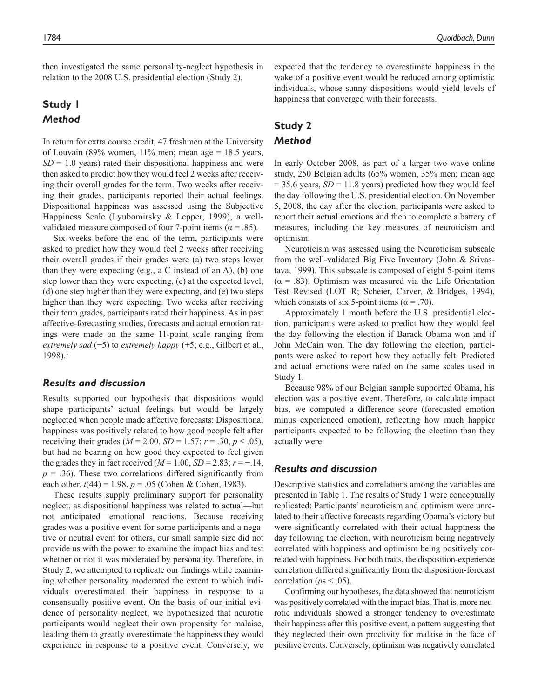then investigated the same personality-neglect hypothesis in relation to the 2008 U.S. presidential election (Study 2).

# **Study 1** *Method*

In return for extra course credit, 47 freshmen at the University of Louvain (89% women,  $11\%$  men; mean age = 18.5 years,  $SD = 1.0$  years) rated their dispositional happiness and were then asked to predict how they would feel 2 weeks after receiving their overall grades for the term. Two weeks after receiving their grades, participants reported their actual feelings. Dispositional happiness was assessed using the Subjective Happiness Scale (Lyubomirsky & Lepper, 1999), a wellvalidated measure composed of four 7-point items ( $\alpha$  = .85).

Six weeks before the end of the term, participants were asked to predict how they would feel 2 weeks after receiving their overall grades if their grades were (a) two steps lower than they were expecting (e.g., a C instead of an A), (b) one step lower than they were expecting, (c) at the expected level, (d) one step higher than they were expecting, and (e) two steps higher than they were expecting. Two weeks after receiving their term grades, participants rated their happiness. As in past affective-forecasting studies, forecasts and actual emotion ratings were made on the same 11-point scale ranging from *extremely sad* (−5) to *extremely happy* (+5; e.g., Gilbert et al.,  $1998$ ).<sup>1</sup>

## *Results and discussion*

Results supported our hypothesis that dispositions would shape participants' actual feelings but would be largely neglected when people made affective forecasts: Dispositional happiness was positively related to how good people felt after receiving their grades ( $M = 2.00$ ,  $SD = 1.57$ ;  $r = .30$ ,  $p < .05$ ), but had no bearing on how good they expected to feel given the grades they in fact received  $(M=1.00, SD=2.83; r=-.14,$  $p = .36$ ). These two correlations differed significantly from each other,  $t(44) = 1.98$ ,  $p = .05$  (Cohen & Cohen, 1983).

These results supply preliminary support for personality neglect, as dispositional happiness was related to actual—but not anticipated—emotional reactions. Because receiving grades was a positive event for some participants and a negative or neutral event for others, our small sample size did not provide us with the power to examine the impact bias and test whether or not it was moderated by personality. Therefore, in Study 2, we attempted to replicate our findings while examining whether personality moderated the extent to which individuals overestimated their happiness in response to a consensually positive event. On the basis of our initial evidence of personality neglect, we hypothesized that neurotic participants would neglect their own propensity for malaise, leading them to greatly overestimate the happiness they would experience in response to a positive event. Conversely, we

expected that the tendency to overestimate happiness in the wake of a positive event would be reduced among optimistic individuals, whose sunny dispositions would yield levels of happiness that converged with their forecasts.

# **Study 2** *Method*

In early October 2008, as part of a larger two-wave online study, 250 Belgian adults (65% women, 35% men; mean age  $= 35.6$  years,  $SD = 11.8$  years) predicted how they would feel the day following the U.S. presidential election. On November 5, 2008, the day after the election, participants were asked to report their actual emotions and then to complete a battery of measures, including the key measures of neuroticism and optimism.

Neuroticism was assessed using the Neuroticism subscale from the well-validated Big Five Inventory (John & Srivastava, 1999). This subscale is composed of eight 5-point items  $(\alpha = .83)$ . Optimism was measured via the Life Orientation Test–Revised (LOT–R; Scheier, Carver, & Bridges, 1994), which consists of six 5-point items ( $\alpha$  = .70).

Approximately 1 month before the U.S. presidential election, participants were asked to predict how they would feel the day following the election if Barack Obama won and if John McCain won. The day following the election, participants were asked to report how they actually felt. Predicted and actual emotions were rated on the same scales used in Study 1.

Because 98% of our Belgian sample supported Obama, his election was a positive event. Therefore, to calculate impact bias, we computed a difference score (forecasted emotion minus experienced emotion), reflecting how much happier participants expected to be following the election than they actually were.

### *Results and discussion*

Descriptive statistics and correlations among the variables are presented in Table 1. The results of Study 1 were conceptually replicated: Participants' neuroticism and optimism were unrelated to their affective forecasts regarding Obama's victory but were significantly correlated with their actual happiness the day following the election, with neuroticism being negatively correlated with happiness and optimism being positively correlated with happiness. For both traits, the disposition-experience correlation differed significantly from the disposition-forecast correlation ( $ps < .05$ ).

Confirming our hypotheses, the data showed that neuroticism was positively correlated with the impact bias. That is, more neurotic individuals showed a stronger tendency to overestimate their happiness after this positive event, a pattern suggesting that they neglected their own proclivity for malaise in the face of positive events. Conversely, optimism was negatively correlated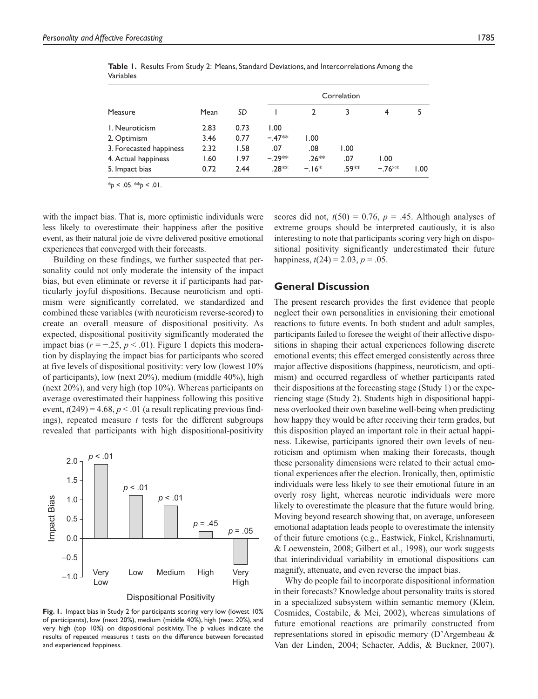| Measure                 | Mean | SD   | Correlation |         |       |         |      |
|-------------------------|------|------|-------------|---------|-------|---------|------|
|                         |      |      |             |         | 3     | 4       | 5    |
| I. Neuroticism          | 2.83 | 0.73 | 1.00        |         |       |         |      |
| 2. Optimism             | 3.46 | 0.77 | $-.47**$    | 1.00    |       |         |      |
| 3. Forecasted happiness | 2.32 | 1.58 | .07         | .08     | 1.00  |         |      |
| 4. Actual happiness     | 1.60 | 1.97 | $-29**$     | $.26**$ | .07   | 1.00    |      |
| 5. Impact bias          | 0.72 | 2.44 | 28**        | $-16*$  | .59** | $-76**$ | 1.00 |

**Table 1.** Results From Study 2: Means, Standard Deviations, and Intercorrelations Among the Variables

 $*_{p}$  < .05.  $*_{p}$  < .01.

with the impact bias. That is, more optimistic individuals were less likely to overestimate their happiness after the positive event, as their natural joie de vivre delivered positive emotional experiences that converged with their forecasts.

Building on these findings, we further suspected that personality could not only moderate the intensity of the impact bias, but even eliminate or reverse it if participants had particularly joyful dispositions. Because neuroticism and optimism were significantly correlated, we standardized and combined these variables (with neuroticism reverse-scored) to create an overall measure of dispositional positivity. As expected, dispositional positivity significantly moderated the impact bias ( $r = -0.25$ ,  $p < 0.01$ ). Figure 1 depicts this moderation by displaying the impact bias for participants who scored at five levels of dispositional positivity: very low (lowest 10% of participants), low (next 20%), medium (middle 40%), high (next 20%), and very high (top 10%). Whereas participants on average overestimated their happiness following this positive event,  $t(249) = 4.68$ ,  $p < 0.01$  (a result replicating previous findings), repeated measure *t* tests for the different subgroups revealed that participants with high dispositional-positivity



#### Dispositional Positivity

**Fig. 1.** Impact bias in Study 2 for participants scoring very low (lowest 10% of participants), low (next 20%), medium (middle 40%), high (next 20%), and very high (top 10%) on dispositional positivity. The *p* values indicate the results of repeated measures *t* tests on the difference between forecasted and experienced happiness.

scores did not,  $t(50) = 0.76$ ,  $p = .45$ . Although analyses of extreme groups should be interpreted cautiously, it is also interesting to note that participants scoring very high on dispositional positivity significantly underestimated their future happiness,  $t(24) = 2.03$ ,  $p = .05$ .

### **General Discussion**

The present research provides the first evidence that people neglect their own personalities in envisioning their emotional reactions to future events. In both student and adult samples, participants failed to foresee the weight of their affective dispositions in shaping their actual experiences following discrete emotional events; this effect emerged consistently across three major affective dispositions (happiness, neuroticism, and optimism) and occurred regardless of whether participants rated their dispositions at the forecasting stage (Study 1) or the experiencing stage (Study 2). Students high in dispositional happiness overlooked their own baseline well-being when predicting how happy they would be after receiving their term grades, but this disposition played an important role in their actual happiness. Likewise, participants ignored their own levels of neuroticism and optimism when making their forecasts, though these personality dimensions were related to their actual emotional experiences after the election. Ironically, then, optimistic individuals were less likely to see their emotional future in an overly rosy light, whereas neurotic individuals were more likely to overestimate the pleasure that the future would bring. Moving beyond research showing that, on average, unforeseen emotional adaptation leads people to overestimate the intensity of their future emotions (e.g., Eastwick, Finkel, Krishnamurti, & Loewenstein, 2008; Gilbert et al., 1998), our work suggests that interindividual variability in emotional dispositions can magnify, attenuate, and even reverse the impact bias.

Why do people fail to incorporate dispositional information in their forecasts? Knowledge about personality traits is stored in a specialized subsystem within semantic memory (Klein, Cosmides, Costabile, & Mei, 2002), whereas simulations of future emotional reactions are primarily constructed from representations stored in episodic memory (D'Argembeau & Van der Linden, 2004; Schacter, Addis, & Buckner, 2007).